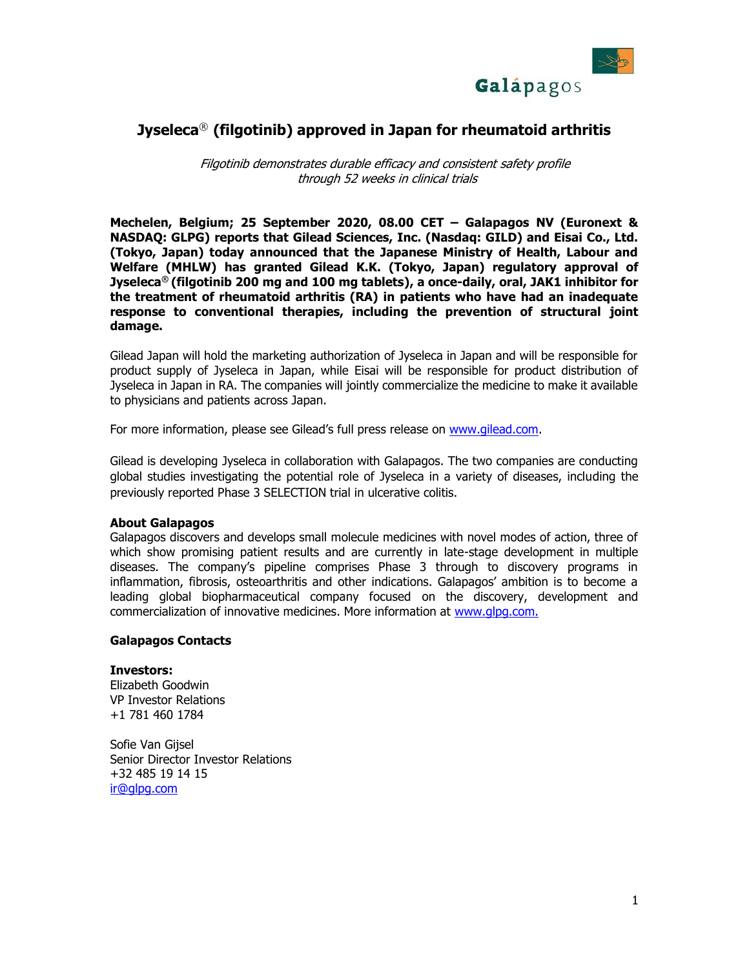

# **Jyseleca**® **(filgotinib) approved in Japan for rheumatoid arthritis**

Filgotinib demonstrates durable efficacy and consistent safety profile through 52 weeks in clinical trials

**Mechelen, Belgium; 25 September 2020, 08.00 CET – Galapagos NV (Euronext & NASDAQ: GLPG) reports that Gilead Sciences, Inc. (Nasdaq: GILD) and Eisai Co., Ltd. (Tokyo, Japan) today announced that the Japanese Ministry of Health, Labour and Welfare (MHLW) has granted Gilead K.K. (Tokyo, Japan) regulatory approval of Jyseleca® (filgotinib 200 mg and 100 mg tablets), a once-daily, oral, JAK1 inhibitor for the treatment of rheumatoid arthritis (RA) in patients who have had an inadequate response to conventional therapies, including the prevention of structural joint damage.**

Gilead Japan will hold the marketing authorization of Jyseleca in Japan and will be responsible for product supply of Jyseleca in Japan, while Eisai will be responsible for product distribution of Jyseleca in Japan in RA. The companies will jointly commercialize the medicine to make it available to physicians and patients across Japan.

For more information, please see Gilead's full press release on [www.gilead.com.](http://galapedia/proj/corp/press/PressReleases/Japan%20Jyseleca%20press%20release/www.gilead.com)

Gilead is developing Jyseleca in collaboration with Galapagos. The two companies are conducting global studies investigating the potential role of Jyseleca in a variety of diseases, including the previously reported Phase 3 SELECTION trial in ulcerative colitis.

## **About Galapagos**

Galapagos discovers and develops small molecule medicines with novel modes of action, three of which show promising patient results and are currently in late-stage development in multiple diseases. The company's pipeline comprises Phase 3 through to discovery programs in inflammation, fibrosis, osteoarthritis and other indications. Galapagos' ambition is to become a leading global biopharmaceutical company focused on the discovery, development and commercialization of innovative medicines. More information at [www.glpg.com.](http://www.glpg.com/)

## **Galapagos Contacts**

## **Investors:**

Elizabeth Goodwin VP Investor Relations +1 781 460 1784

Sofie Van Gijsel Senior Director Investor Relations +32 485 19 14 15 [ir@glpg.com](mailto:ir@glpg.com)